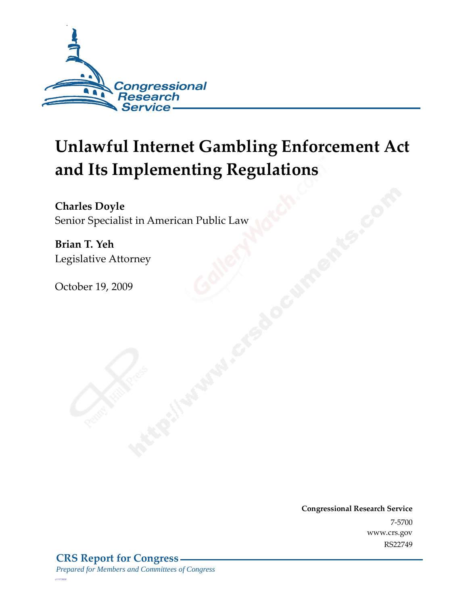

# **Unlawful Internet Gambling Enforcement Act and Its Implementing Regulations**

**Charles Doyle**  Senior Specialist in American Public Law

**Brian T. Yeh**  Legislative Attorney

October 19, 2009

**Congressional Research Service** 7-5700 www.crs.gov RS22749

*c11173008*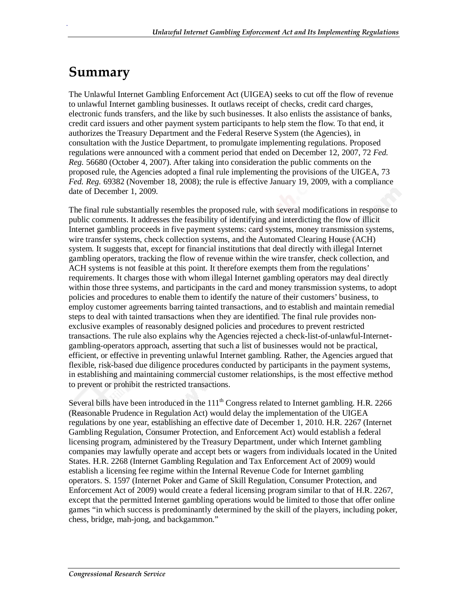## **Summary**

.

The Unlawful Internet Gambling Enforcement Act (UIGEA) seeks to cut off the flow of revenue to unlawful Internet gambling businesses. It outlaws receipt of checks, credit card charges, electronic funds transfers, and the like by such businesses. It also enlists the assistance of banks, credit card issuers and other payment system participants to help stem the flow. To that end, it authorizes the Treasury Department and the Federal Reserve System (the Agencies), in consultation with the Justice Department, to promulgate implementing regulations. Proposed regulations were announced with a comment period that ended on December 12, 2007, 72 *Fed. Reg.* 56680 (October 4, 2007). After taking into consideration the public comments on the proposed rule, the Agencies adopted a final rule implementing the provisions of the UIGEA, 73 *Fed. Reg.* 69382 (November 18, 2008); the rule is effective January 19, 2009, with a compliance date of December 1, 2009.

The final rule substantially resembles the proposed rule, with several modifications in response to public comments. It addresses the feasibility of identifying and interdicting the flow of illicit Internet gambling proceeds in five payment systems: card systems, money transmission systems, wire transfer systems, check collection systems, and the Automated Clearing House (ACH) system. It suggests that, except for financial institutions that deal directly with illegal Internet gambling operators, tracking the flow of revenue within the wire transfer, check collection, and ACH systems is not feasible at this point. It therefore exempts them from the regulations' requirements. It charges those with whom illegal Internet gambling operators may deal directly within those three systems, and participants in the card and money transmission systems, to adopt policies and procedures to enable them to identify the nature of their customers' business, to employ customer agreements barring tainted transactions, and to establish and maintain remedial steps to deal with tainted transactions when they are identified. The final rule provides nonexclusive examples of reasonably designed policies and procedures to prevent restricted transactions. The rule also explains why the Agencies rejected a check-list-of-unlawful-Internetgambling-operators approach, asserting that such a list of businesses would not be practical, efficient, or effective in preventing unlawful Internet gambling. Rather, the Agencies argued that flexible, risk-based due diligence procedures conducted by participants in the payment systems, in establishing and maintaining commercial customer relationships, is the most effective method to prevent or prohibit the restricted transactions.

Several bills have been introduced in the  $111<sup>th</sup>$  Congress related to Internet gambling. H.R. 2266 (Reasonable Prudence in Regulation Act) would delay the implementation of the UIGEA regulations by one year, establishing an effective date of December 1, 2010. H.R. 2267 (Internet Gambling Regulation, Consumer Protection, and Enforcement Act) would establish a federal licensing program, administered by the Treasury Department, under which Internet gambling companies may lawfully operate and accept bets or wagers from individuals located in the United States. H.R. 2268 (Internet Gambling Regulation and Tax Enforcement Act of 2009) would establish a licensing fee regime within the Internal Revenue Code for Internet gambling operators. S. 1597 (Internet Poker and Game of Skill Regulation, Consumer Protection, and Enforcement Act of 2009) would create a federal licensing program similar to that of H.R. 2267, except that the permitted Internet gambling operations would be limited to those that offer online games "in which success is predominantly determined by the skill of the players, including poker, chess, bridge, mah-jong, and backgammon."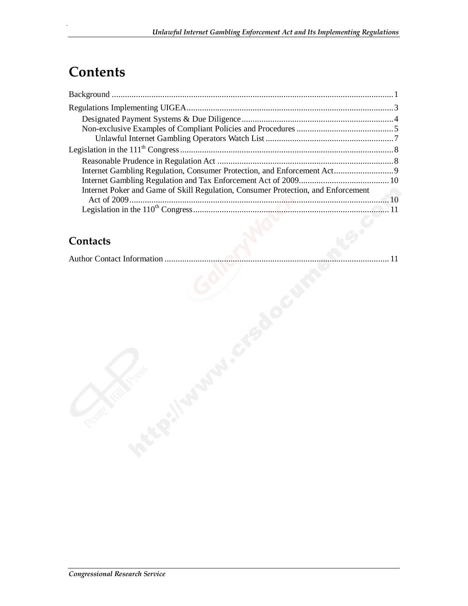## **Contents**

.

| Internet Poker and Game of Skill Regulation, Consumer Protection, and Enforcement | <b>Contract Contract</b> |
|-----------------------------------------------------------------------------------|--------------------------|
|                                                                                   |                          |
|                                                                                   |                          |

## **Contacts**

|--|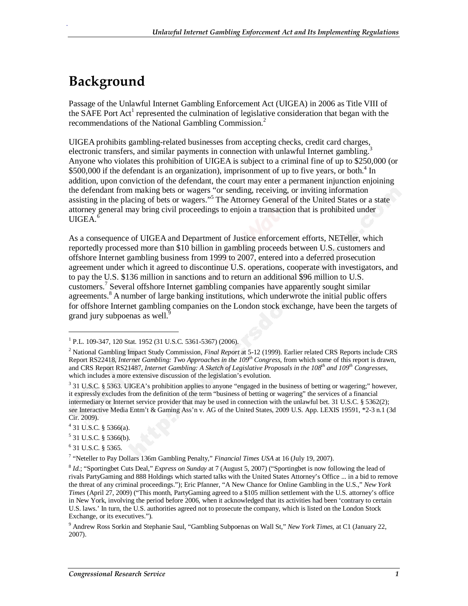## **Background**

.

Passage of the Unlawful Internet Gambling Enforcement Act (UIGEA) in 2006 as Title VIII of the SAFE Port Act<sup>1</sup> represented the culmination of legislative consideration that began with the recommendations of the National Gambling Commission.<sup>2</sup>

UIGEA prohibits gambling-related businesses from accepting checks, credit card charges, electronic transfers, and similar payments in connection with unlawful Internet gambling.<sup>3</sup> Anyone who violates this prohibition of UIGEA is subject to a criminal fine of up to \$250,000 (or \$500,000 if the defendant is an organization), imprisonment of up to five years, or both.<sup>4</sup> In addition, upon conviction of the defendant, the court may enter a permanent injunction enjoining the defendant from making bets or wagers "or sending, receiving, or inviting information assisting in the placing of bets or wagers."<sup>5</sup> The Attorney General of the United States or a state attorney general may bring civil proceedings to enjoin a transaction that is prohibited under  $UIGEA.<sup>6</sup>$ 

As a consequence of UIGEA and Department of Justice enforcement efforts, NETeller, which reportedly processed more than \$10 billion in gambling proceeds between U.S. customers and offshore Internet gambling business from 1999 to 2007, entered into a deferred prosecution agreement under which it agreed to discontinue U.S. operations, cooperate with investigators, and to pay the U.S. \$136 million in sanctions and to return an additional \$96 million to U.S. customers.<sup>7</sup> Several offshore Internet gambling companies have apparently sought similar agreements.<sup>8</sup> A number of large banking institutions, which underwrote the initial public offers for offshore Internet gambling companies on the London stock exchange, have been the targets of grand jury subpoenas as well.<sup>9</sup>

1

6 31 U.S.C. § 5365.

<sup>7</sup> "Neteller to Pay Dollars 136m Gambling Penalty," *Financial Times USA* at 16 (July 19, 2007).

<sup>1</sup> P.L. 109-347, 120 Stat. 1952 (31 U.S.C. 5361-5367) (2006).

<sup>2</sup> National Gambling Impact Study Commission, *Final Report* at 5-12 (1999). Earlier related CRS Reports include CRS Report RS22418, *Internet Gambling: Two Approaches in the 109<sup>th</sup> Congress*, from which some of this report is drawn, and CRS Report RS21487, *Internet Gambling: A Sketch of Legislative Proposals in the 108th and 109th Congresses*, which includes a more extensive discussion of the legislation's evolution.

 $3$  31 U.S.C. § 5363. UIGEA's prohibition applies to anyone "engaged in the business of betting or wagering;" however, it expressly excludes from the definition of the term "business of betting or wagering" the services of a financial intermediary or Internet service provider that may be used in connection with the unlawful bet. 31 U.S.C. § 5362(2); *see* Interactive Media Entm't & Gaming Ass'n v. AG of the United States, 2009 U.S. App. LEXIS 19591, \*2-3 n.1 (3d Cir. 2009).

 $4$  31 U.S.C. § 5366(a).

 $5$  31 U.S.C. § 5366(b).

<sup>&</sup>lt;sup>8</sup> *Id.*; "Sportingbet Cuts Deal," *Express on Sunday* at 7 (August 5, 2007) ("Sportingbet is now following the lead of rivals PartyGaming and 888 Holdings which started talks with the United States Attorney's Office ... in a bid to remove the threat of any criminal proceedings."); Eric Pfanner, "A New Chance for Online Gambling in the U.S.," *New York Times* (April 27, 2009) ("This month, PartyGaming agreed to a \$105 million settlement with the U.S. attorney's office in New York, involving the period before 2006, when it acknowledged that its activities had been 'contrary to certain U.S. laws.' In turn, the U.S. authorities agreed not to prosecute the company, which is listed on the London Stock Exchange, or its executives.").

<sup>9</sup> Andrew Ross Sorkin and Stephanie Saul, "Gambling Subpoenas on Wall St," *New York Times,* at C1 (January 22, 2007).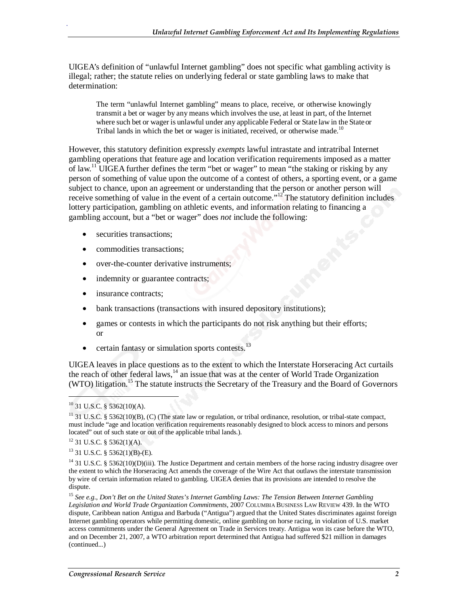UIGEA's definition of "unlawful Internet gambling" does not specific what gambling activity is illegal; rather; the statute relies on underlying federal or state gambling laws to make that determination:

The term "unlawful Internet gambling" means to place, receive, or otherwise knowingly transmit a bet or wager by any means which involves the use, at least in part, of the Internet where such bet or wager is unlawful under any applicable Federal or State law in the State or Tribal lands in which the bet or wager is initiated, received, or otherwise made.<sup>10</sup>

However, this statutory definition expressly *exempts* lawful intrastate and intratribal Internet gambling operations that feature age and location verification requirements imposed as a matter of law.11 UIGEA further defines the term "bet or wager" to mean "the staking or risking by any person of something of value upon the outcome of a contest of others, a sporting event, or a game subject to chance, upon an agreement or understanding that the person or another person will receive something of value in the event of a certain outcome."<sup>12</sup> The statutory definition includes lottery participation, gambling on athletic events, and information relating to financing a gambling account, but a "bet or wager" does *not* include the following:

- securities transactions:
- commodities transactions;
- over-the-counter derivative instruments;
- indemnity or guarantee contracts;
- insurance contracts:
- bank transactions (transactions with insured depository institutions);
- games or contests in which the participants do not risk anything but their efforts; or
- certain fantasy or simulation sports contests. $^{13}$

UIGEA leaves in place questions as to the extent to which the Interstate Horseracing Act curtails the reach of other federal laws, $14$  an issue that was at the center of World Trade Organization (WTO) litigation.<sup>15</sup> The statute instructs the Secretary of the Treasury and the Board of Governors

1

 $10$  31 U.S.C. § 5362(10)(A).

<sup>&</sup>lt;sup>11</sup> 31 U.S.C. § 5362(10)(B), (C) (The state law or regulation, or tribal ordinance, resolution, or tribal-state compact, must include "age and location verification requirements reasonably designed to block access to minors and persons located" out of such state or out of the applicable tribal lands.).

 $12$  31 U.S.C. § 5362(1)(A).

 $13$  31 U.S.C. § 5362(1)(B)-(E).

<sup>&</sup>lt;sup>14</sup> 31 U.S.C. § 5362(10)(D)(iii). The Justice Department and certain members of the horse racing industry disagree over the extent to which the Horseracing Act amends the coverage of the Wire Act that outlaws the interstate transmission by wire of certain information related to gambling. UIGEA denies that its provisions are intended to resolve the dispute.

<sup>15</sup> *See e.g.*, *Don't Bet on the United States's Internet Gambling Laws: The Tension Between Internet Gambling Legislation and World Trade Organization Commitments*, 2007 COLUMBIA BUSINESS LAW REVIEW 439. In the WTO dispute, Caribbean nation Antigua and Barbuda ("Antigua") argued that the United States discriminates against foreign Internet gambling operators while permitting domestic, online gambling on horse racing, in violation of U.S. market access commitments under the General Agreement on Trade in Services treaty. Antigua won its case before the WTO, and on December 21, 2007, a WTO arbitration report determined that Antigua had suffered \$21 million in damages (continued...)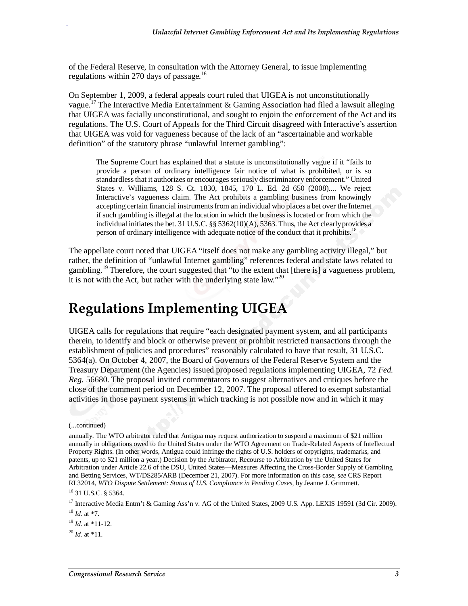of the Federal Reserve, in consultation with the Attorney General, to issue implementing regulations within 270 days of passage.<sup>16</sup>

On September 1, 2009, a federal appeals court ruled that UIGEA is not unconstitutionally vague.<sup>17</sup> The Interactive Media Entertainment & Gaming Association had filed a lawsuit alleging that UIGEA was facially unconstitutional, and sought to enjoin the enforcement of the Act and its regulations. The U.S. Court of Appeals for the Third Circuit disagreed with Interactive's assertion that UIGEA was void for vagueness because of the lack of an "ascertainable and workable definition" of the statutory phrase "unlawful Internet gambling":

The Supreme Court has explained that a statute is unconstitutionally vague if it "fails to provide a person of ordinary intelligence fair notice of what is prohibited, or is so standardless that it authorizes or encourages seriously discriminatory enforcement." United States v. Williams, 128 S. Ct. 1830, 1845, 170 L. Ed. 2d 650 (2008).... We reject Interactive's vagueness claim. The Act prohibits a gambling business from knowingly accepting certain financial instruments from an individual who places a bet over the Internet if such gambling is illegal at the location in which the business is located or from which the individual initiates the bet. 31 U.S.C. §§ 5362(10)(A), 5363. Thus, the Act clearly provides a person of ordinary intelligence with adequate notice of the conduct that it prohibits.<sup>18</sup>

The appellate court noted that UIGEA "itself does not make any gambling activity illegal," but rather, the definition of "unlawful Internet gambling" references federal and state laws related to gambling.<sup>19</sup> Therefore, the court suggested that "to the extent that [there is] a vagueness problem, it is not with the Act, but rather with the underlying state law."<sup>20</sup>

## **Regulations Implementing UIGEA**

UIGEA calls for regulations that require "each designated payment system, and all participants therein, to identify and block or otherwise prevent or prohibit restricted transactions through the establishment of policies and procedures" reasonably calculated to have that result, 31 U.S.C. 5364(a). On October 4, 2007, the Board of Governors of the Federal Reserve System and the Treasury Department (the Agencies) issued proposed regulations implementing UIGEA, 72 *Fed. Reg.* 56680. The proposal invited commentators to suggest alternatives and critiques before the close of the comment period on December 12, 2007. The proposal offered to exempt substantial activities in those payment systems in which tracking is not possible now and in which it may

 $\overline{\phantom{a}}$ 

.

 $^{19}$  *Id.* at \*11-12.

<sup>(...</sup>continued)

annually. The WTO arbitrator ruled that Antigua may request authorization to suspend a maximum of \$21 million annually in obligations owed to the United States under the WTO Agreement on Trade-Related Aspects of Intellectual Property Rights. (In other words, Antigua could infringe the rights of U.S. holders of copyrights, trademarks, and patents, up to \$21 million a year.) Decision by the Arbitrator, Recourse to Arbitration by the United States for Arbitration under Article 22.6 of the DSU, United States—Measures Affecting the Cross-Border Supply of Gambling and Betting Services, WT/DS285/ARB (December 21, 2007). For more information on this case, *see* CRS Report RL32014, *WTO Dispute Settlement: Status of U.S. Compliance in Pending Cases*, by Jeanne J. Grimmett. 16 31 U.S.C. § 5364.

<sup>&</sup>lt;sup>17</sup> Interactive Media Entm't & Gaming Ass'n v. AG of the United States, 2009 U.S. App. LEXIS 19591 (3d Cir. 2009). <sup>18</sup> *Id.* at \*7.

 $^{20}$  *Id.* at \*11.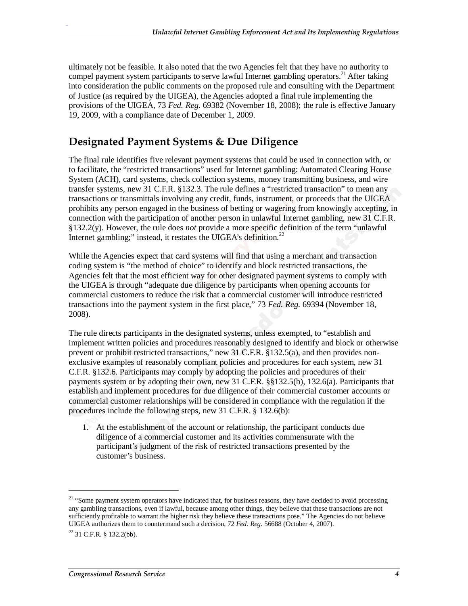ultimately not be feasible. It also noted that the two Agencies felt that they have no authority to compel payment system participants to serve lawful Internet gambling operators.<sup>21</sup> After taking into consideration the public comments on the proposed rule and consulting with the Department of Justice (as required by the UIGEA), the Agencies adopted a final rule implementing the provisions of the UIGEA, 73 *Fed. Reg.* 69382 (November 18, 2008); the rule is effective January 19, 2009, with a compliance date of December 1, 2009.

### **Designated Payment Systems & Due Diligence**

The final rule identifies five relevant payment systems that could be used in connection with, or to facilitate, the "restricted transactions" used for Internet gambling: Automated Clearing House System (ACH), card systems, check collection systems, money transmitting business, and wire transfer systems, new 31 C.F.R. §132.3. The rule defines a "restricted transaction" to mean any transactions or transmittals involving any credit, funds, instrument, or proceeds that the UIGEA prohibits any person engaged in the business of betting or wagering from knowingly accepting, in connection with the participation of another person in unlawful Internet gambling, new 31 C.F.R. §132.2(y). However, the rule does *not* provide a more specific definition of the term "unlawful Internet gambling;" instead, it restates the UIGEA's definition.<sup>22</sup>

While the Agencies expect that card systems will find that using a merchant and transaction coding system is "the method of choice" to identify and block restricted transactions, the Agencies felt that the most efficient way for other designated payment systems to comply with the UIGEA is through "adequate due diligence by participants when opening accounts for commercial customers to reduce the risk that a commercial customer will introduce restricted transactions into the payment system in the first place," 73 *Fed. Reg.* 69394 (November 18, 2008).

The rule directs participants in the designated systems, unless exempted, to "establish and implement written policies and procedures reasonably designed to identify and block or otherwise prevent or prohibit restricted transactions," new 31 C.F.R. §132.5(a), and then provides nonexclusive examples of reasonably compliant policies and procedures for each system, new 31 C.F.R. §132.6. Participants may comply by adopting the policies and procedures of their payments system or by adopting their own, new 31 C.F.R. §§132.5(b), 132.6(a). Participants that establish and implement procedures for due diligence of their commercial customer accounts or commercial customer relationships will be considered in compliance with the regulation if the procedures include the following steps, new 31 C.F.R. § 132.6(b):

1. At the establishment of the account or relationship, the participant conducts due diligence of a commercial customer and its activities commensurate with the participant's judgment of the risk of restricted transactions presented by the customer's business.

1

<sup>&</sup>lt;sup>21</sup> "Some payment system operators have indicated that, for business reasons, they have decided to avoid processing any gambling transactions, even if lawful, because among other things, they believe that these transactions are not sufficiently profitable to warrant the higher risk they believe these transactions pose." The Agencies do not believe UIGEA authorizes them to countermand such a decision, 72 *Fed. Reg.* 56688 (October 4, 2007).

 $22$  31 C.F.R. § 132.2(bb).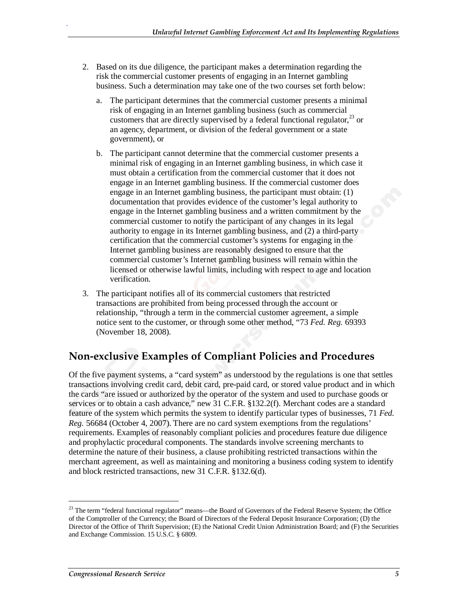- 2. Based on its due diligence, the participant makes a determination regarding the risk the commercial customer presents of engaging in an Internet gambling business. Such a determination may take one of the two courses set forth below:
	- a. The participant determines that the commercial customer presents a minimal risk of engaging in an Internet gambling business (such as commercial customers that are directly supervised by a federal functional regulator,  $^{23}$  or an agency, department, or division of the federal government or a state government), or
	- b. The participant cannot determine that the commercial customer presents a minimal risk of engaging in an Internet gambling business, in which case it must obtain a certification from the commercial customer that it does not engage in an Internet gambling business. If the commercial customer does engage in an Internet gambling business, the participant must obtain: (1) documentation that provides evidence of the customer's legal authority to engage in the Internet gambling business and a written commitment by the commercial customer to notify the participant of any changes in its legal authority to engage in its Internet gambling business, and (2) a third-party certification that the commercial customer's systems for engaging in the Internet gambling business are reasonably designed to ensure that the commercial customer's Internet gambling business will remain within the licensed or otherwise lawful limits, including with respect to age and location verification.
- 3. The participant notifies all of its commercial customers that restricted transactions are prohibited from being processed through the account or relationship, "through a term in the commercial customer agreement, a simple notice sent to the customer, or through some other method, "73 *Fed. Reg.* 69393 (November 18, 2008).

#### **Non-exclusive Examples of Compliant Policies and Procedures**

Of the five payment systems, a "card system" as understood by the regulations is one that settles transactions involving credit card, debit card, pre-paid card, or stored value product and in which the cards "are issued or authorized by the operator of the system and used to purchase goods or services or to obtain a cash advance," new 31 C.F.R. §132.2(f). Merchant codes are a standard feature of the system which permits the system to identify particular types of businesses, 71 *Fed. Reg.* 56684 (October 4, 2007). There are no card system exemptions from the regulations' requirements. Examples of reasonably compliant policies and procedures feature due diligence and prophylactic procedural components. The standards involve screening merchants to determine the nature of their business, a clause prohibiting restricted transactions within the merchant agreement, as well as maintaining and monitoring a business coding system to identify and block restricted transactions, new 31 C.F.R. §132.6(d).

1

<sup>&</sup>lt;sup>23</sup> The term "federal functional regulator" means—the Board of Governors of the Federal Reserve System; the Office of the Comptroller of the Currency; the Board of Directors of the Federal Deposit Insurance Corporation; (D) the Director of the Office of Thrift Supervision; (E) the National Credit Union Administration Board; and (F) the Securities and Exchange Commission. 15 U.S.C. § 6809.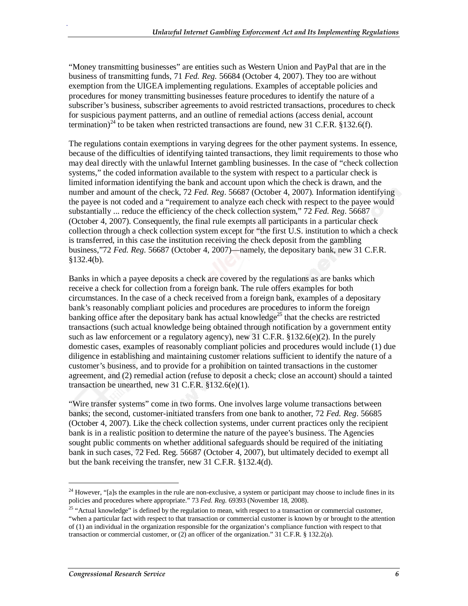"Money transmitting businesses" are entities such as Western Union and PayPal that are in the business of transmitting funds, 71 *Fed. Reg.* 56684 (October 4, 2007). They too are without exemption from the UIGEA implementing regulations. Examples of acceptable policies and procedures for money transmitting businesses feature procedures to identify the nature of a subscriber's business, subscriber agreements to avoid restricted transactions, procedures to check for suspicious payment patterns, and an outline of remedial actions (access denial, account termination)<sup>24</sup> to be taken when restricted transactions are found, new 31 C.F.R. §132.6(f).

The regulations contain exemptions in varying degrees for the other payment systems. In essence, because of the difficulties of identifying tainted transactions, they limit requirements to those who may deal directly with the unlawful Internet gambling businesses. In the case of "check collection systems," the coded information available to the system with respect to a particular check is limited information identifying the bank and account upon which the check is drawn, and the number and amount of the check, 72 *Fed. Reg*. 56687 (October 4, 2007). Information identifying the payee is not coded and a "requirement to analyze each check with respect to the payee would substantially ... reduce the efficiency of the check collection system," 72 *Fed. Reg*. 56687 (October 4, 2007). Consequently, the final rule exempts all participants in a particular check collection through a check collection system except for "the first U.S. institution to which a check is transferred, in this case the institution receiving the check deposit from the gambling business,"72 *Fed. Reg*. 56687 (October 4, 2007)—namely, the depositary bank, new 31 C.F.R.  $§132.4(b).$ 

Banks in which a payee deposits a check are covered by the regulations as are banks which receive a check for collection from a foreign bank. The rule offers examples for both circumstances. In the case of a check received from a foreign bank, examples of a depositary bank's reasonably compliant policies and procedures are procedures to inform the foreign banking office after the depositary bank has actual knowledge<sup>25</sup> that the checks are restricted transactions (such actual knowledge being obtained through notification by a government entity such as law enforcement or a regulatory agency), new 31 C.F.R.  $\S$ 132.6(e)(2). In the purely domestic cases, examples of reasonably compliant policies and procedures would include (1) due diligence in establishing and maintaining customer relations sufficient to identify the nature of a customer's business, and to provide for a prohibition on tainted transactions in the customer agreement, and (2) remedial action (refuse to deposit a check; close an account) should a tainted transaction be unearthed, new 31 C.F.R.  $$132.6(e)(1)$ .

"Wire transfer systems" come in two forms. One involves large volume transactions between banks; the second, customer-initiated transfers from one bank to another, 72 *Fed. Reg*. 56685 (October 4, 2007). Like the check collection systems, under current practices only the recipient bank is in a realistic position to determine the nature of the payee's business. The Agencies sought public comments on whether additional safeguards should be required of the initiating bank in such cases, 72 Fed. Reg. 56687 (October 4, 2007), but ultimately decided to exempt all but the bank receiving the transfer, new 31 C.F.R. §132.4(d).

<u>.</u>

 $24$  However, "[a]s the examples in the rule are non-exclusive, a system or participant may choose to include fines in its policies and procedures where appropriate." 73 *Fed. Reg.* 69393 (November 18, 2008).

<sup>&</sup>lt;sup>25</sup> "Actual knowledge" is defined by the regulation to mean, with respect to a transaction or commercial customer, "when a particular fact with respect to that transaction or commercial customer is known by or brought to the attention of (1) an individual in the organization responsible for the organization's compliance function with respect to that transaction or commercial customer, or (2) an officer of the organization." 31 C.F.R. § 132.2(a).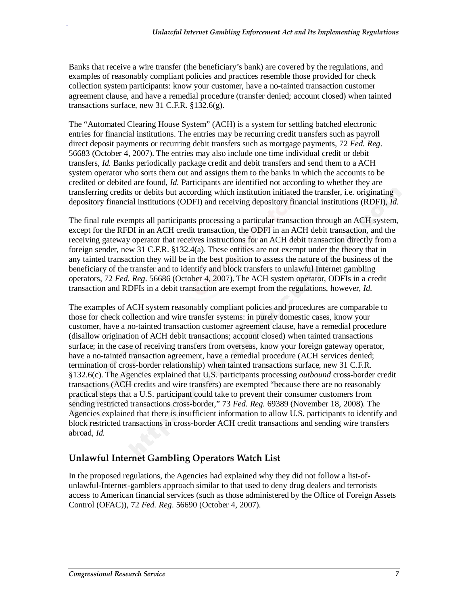Banks that receive a wire transfer (the beneficiary's bank) are covered by the regulations, and examples of reasonably compliant policies and practices resemble those provided for check collection system participants: know your customer, have a no-tainted transaction customer agreement clause, and have a remedial procedure (transfer denied; account closed) when tainted transactions surface, new 31 C.F.R. §132.6(g).

The "Automated Clearing House System" (ACH) is a system for settling batched electronic entries for financial institutions. The entries may be recurring credit transfers such as payroll direct deposit payments or recurring debit transfers such as mortgage payments, 72 *Fed. Reg*. 56683 (October 4, 2007). The entries may also include one time individual credit or debit transfers, *Id.* Banks periodically package credit and debit transfers and send them to a ACH system operator who sorts them out and assigns them to the banks in which the accounts to be credited or debited are found, *Id.* Participants are identified not according to whether they are transferring credits or debits but according which institution initiated the transfer, i.e. originating depository financial institutions (ODFI) and receiving depository financial institutions (RDFI), *Id.* 

The final rule exempts all participants processing a particular transaction through an ACH system, except for the RFDI in an ACH credit transaction, the ODFI in an ACH debit transaction, and the receiving gateway operator that receives instructions for an ACH debit transaction directly from a foreign sender, new 31 C.F.R. §132.4(a). These entities are not exempt under the theory that in any tainted transaction they will be in the best position to assess the nature of the business of the beneficiary of the transfer and to identify and block transfers to unlawful Internet gambling operators, 72 *Fed. Reg*. 56686 (October 4, 2007). The ACH system operator, ODFIs in a credit transaction and RDFIs in a debit transaction are exempt from the regulations, however, *Id.*

The examples of ACH system reasonably compliant policies and procedures are comparable to those for check collection and wire transfer systems: in purely domestic cases, know your customer, have a no-tainted transaction customer agreement clause, have a remedial procedure (disallow origination of ACH debit transactions; account closed) when tainted transactions surface; in the case of receiving transfers from overseas, know your foreign gateway operator, have a no-tainted transaction agreement, have a remedial procedure (ACH services denied; termination of cross-border relationship) when tainted transactions surface, new 31 C.F.R. §132.6(c). The Agencies explained that U.S. participants processing *outbound* cross-border credit transactions (ACH credits and wire transfers) are exempted "because there are no reasonably practical steps that a U.S. participant could take to prevent their consumer customers from sending restricted transactions cross-border," 73 *Fed. Reg.* 69389 (November 18, 2008). The Agencies explained that there is insufficient information to allow U.S. participants to identify and block restricted transactions in cross-border ACH credit transactions and sending wire transfers abroad, *Id.* 

#### **Unlawful Internet Gambling Operators Watch List**

In the proposed regulations, the Agencies had explained why they did not follow a list-ofunlawful-Internet-gamblers approach similar to that used to deny drug dealers and terrorists access to American financial services (such as those administered by the Office of Foreign Assets Control (OFAC)), 72 *Fed. Reg*. 56690 (October 4, 2007).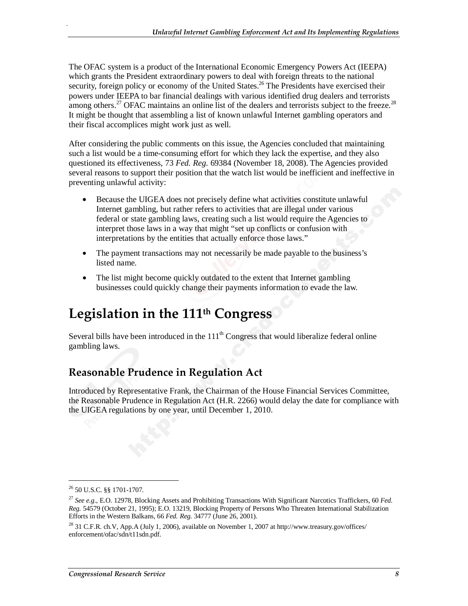The OFAC system is a product of the International Economic Emergency Powers Act (IEEPA) which grants the President extraordinary powers to deal with foreign threats to the national security, foreign policy or economy of the United States.<sup>26</sup> The Presidents have exercised their powers under IEEPA to bar financial dealings with various identified drug dealers and terrorists among others.<sup>27</sup> OFAC maintains an online list of the dealers and terrorists subject to the freeze.<sup>28</sup> It might be thought that assembling a list of known unlawful Internet gambling operators and their fiscal accomplices might work just as well.

After considering the public comments on this issue, the Agencies concluded that maintaining such a list would be a time-consuming effort for which they lack the expertise, and they also questioned its effectiveness, 73 *Fed. Reg.* 69384 (November 18, 2008). The Agencies provided several reasons to support their position that the watch list would be inefficient and ineffective in preventing unlawful activity:

- Because the UIGEA does not precisely define what activities constitute unlawful Internet gambling, but rather refers to activities that are illegal under various federal or state gambling laws, creating such a list would require the Agencies to interpret those laws in a way that might "set up conflicts or confusion with interpretations by the entities that actually enforce those laws."
- The payment transactions may not necessarily be made payable to the business's listed name.
- The list might become quickly outdated to the extent that Internet gambling businesses could quickly change their payments information to evade the law.

## **Legislation in the 111th Congress**

Several bills have been introduced in the  $111<sup>th</sup>$  Congress that would liberalize federal online gambling laws.

## **Reasonable Prudence in Regulation Act**

Introduced by Representative Frank, the Chairman of the House Financial Services Committee, the Reasonable Prudence in Regulation Act (H.R. 2266) would delay the date for compliance with the UIGEA regulations by one year, until December 1, 2010.

1

<sup>26 50</sup> U.S.C. §§ 1701-1707.

<sup>27</sup> *See e.g.*, E.O. 12978, Blocking Assets and Prohibiting Transactions With Significant Narcotics Traffickers, 60 *Fed. Reg.* 54579 (October 21, 1995); E.O. 13219, Blocking Property of Persons Who Threaten International Stabilization Efforts in the Western Balkans, 66 *Fed. Reg.* 34777 (June 26, 2001).

<sup>&</sup>lt;sup>28</sup> 31 C.F.R. ch.V, App.A (July 1, 2006), available on November 1, 2007 at http://www.treasury.gov/offices/ enforcement/ofac/sdn/t11sdn.pdf.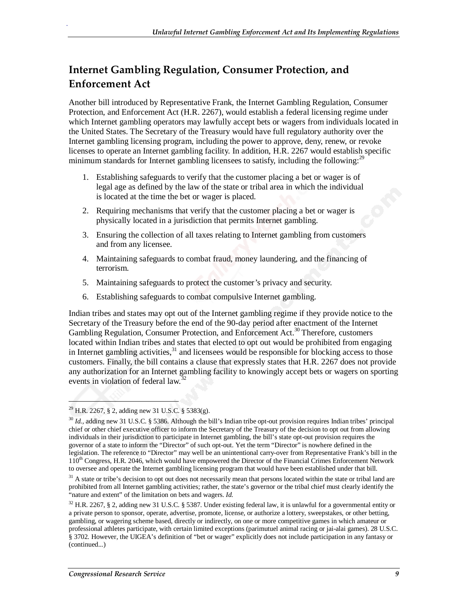## **Internet Gambling Regulation, Consumer Protection, and Enforcement Act**

Another bill introduced by Representative Frank, the Internet Gambling Regulation, Consumer Protection, and Enforcement Act (H.R. 2267), would establish a federal licensing regime under which Internet gambling operators may lawfully accept bets or wagers from individuals located in the United States. The Secretary of the Treasury would have full regulatory authority over the Internet gambling licensing program, including the power to approve, deny, renew, or revoke licenses to operate an Internet gambling facility. In addition, H.R. 2267 would establish specific minimum standards for Internet gambling licensees to satisfy, including the following: $^{29}$ 

- 1. Establishing safeguards to verify that the customer placing a bet or wager is of legal age as defined by the law of the state or tribal area in which the individual is located at the time the bet or wager is placed.
- 2. Requiring mechanisms that verify that the customer placing a bet or wager is physically located in a jurisdiction that permits Internet gambling.
- 3. Ensuring the collection of all taxes relating to Internet gambling from customers and from any licensee.
- 4. Maintaining safeguards to combat fraud, money laundering, and the financing of terrorism.
- 5. Maintaining safeguards to protect the customer's privacy and security.
- 6. Establishing safeguards to combat compulsive Internet gambling.

Indian tribes and states may opt out of the Internet gambling regime if they provide notice to the Secretary of the Treasury before the end of the 90-day period after enactment of the Internet Gambling Regulation, Consumer Protection, and Enforcement Act.<sup>30</sup> Therefore, customers located within Indian tribes and states that elected to opt out would be prohibited from engaging in Internet gambling activities,  $31$  and licensees would be responsible for blocking access to those customers. Finally, the bill contains a clause that expressly states that H.R. 2267 does not provide any authorization for an Internet gambling facility to knowingly accept bets or wagers on sporting events in violation of federal law.<sup>32</sup>

1

 $^{29}$  H.R. 2267, § 2, adding new 31 U.S.C. § 5383(g).

<sup>30</sup> *Id.,* adding new 31 U.S.C. § 5386. Although the bill's Indian tribe opt-out provision requires Indian tribes' principal chief or other chief executive officer to inform the Secretary of the Treasury of the decision to opt out from allowing individuals in their jurisdiction to participate in Internet gambling, the bill's state opt-out provision requires the governor of a state to inform the "Director" of such opt-out. Yet the term "Director" is nowhere defined in the legislation. The reference to "Director" may well be an unintentional carry-over from Representative Frank's bill in the 110<sup>th</sup> Congress, H.R. 2046, which would have empowered the Director of the Financial Crimes Enforcement Network to oversee and operate the Internet gambling licensing program that would have been established under that bill.

<sup>&</sup>lt;sup>31</sup> A state or tribe's decision to opt out does not necessarily mean that persons located within the state or tribal land are prohibited from all Internet gambling activities; rather, the state's governor or the tribal chief must clearly identify the "nature and extent" of the limitation on bets and wagers. *Id.*

<sup>32</sup> H.R. 2267, § 2, adding new 31 U.S.C. § 5387. Under existing federal law, it is unlawful for a governmental entity or a private person to sponsor, operate, advertise, promote, license, or authorize a lottery, sweepstakes, or other betting, gambling, or wagering scheme based, directly or indirectly, on one or more competitive games in which amateur or professional athletes participate, with certain limited exceptions (parimutuel animal racing or jai-alai games). 28 U.S.C. § 3702. However, the UIGEA's definition of "bet or wager" explicitly does not include participation in any fantasy or (continued...)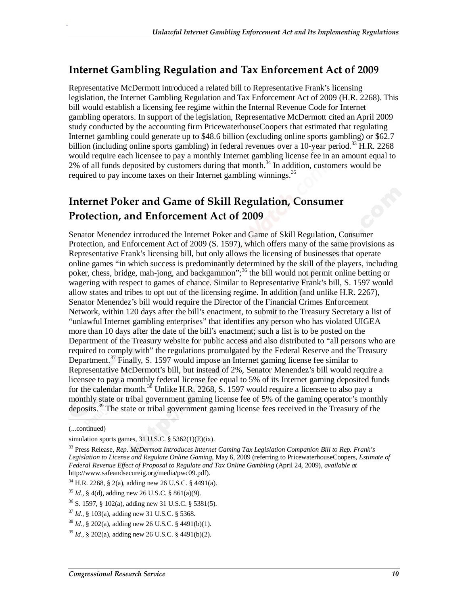### **Internet Gambling Regulation and Tax Enforcement Act of 2009**

Representative McDermott introduced a related bill to Representative Frank's licensing legislation, the Internet Gambling Regulation and Tax Enforcement Act of 2009 (H.R. 2268). This bill would establish a licensing fee regime within the Internal Revenue Code for Internet gambling operators. In support of the legislation, Representative McDermott cited an April 2009 study conducted by the accounting firm PricewaterhouseCoopers that estimated that regulating Internet gambling could generate up to \$48.6 billion (excluding online sports gambling) or \$62.7 billion (including online sports gambling) in federal revenues over a 10-year period.<sup>33</sup> H.R. 2268 would require each licensee to pay a monthly Internet gambling license fee in an amount equal to 2% of all funds deposited by customers during that month.<sup>34</sup> In addition, customers would be required to pay income taxes on their Internet gambling winnings.<sup>35</sup>

## **Internet Poker and Game of Skill Regulation, Consumer Protection, and Enforcement Act of 2009**

Senator Menendez introduced the Internet Poker and Game of Skill Regulation, Consumer Protection, and Enforcement Act of 2009 (S. 1597), which offers many of the same provisions as Representative Frank's licensing bill, but only allows the licensing of businesses that operate online games "in which success is predominantly determined by the skill of the players, including poker, chess, bridge, mah-jong, and backgammon";<sup>36</sup> the bill would not permit online betting or wagering with respect to games of chance. Similar to Representative Frank's bill, S. 1597 would allow states and tribes to opt out of the licensing regime. In addition (and unlike H.R. 2267), Senator Menendez's bill would require the Director of the Financial Crimes Enforcement Network, within 120 days after the bill's enactment, to submit to the Treasury Secretary a list of "unlawful Internet gambling enterprises" that identifies any person who has violated UIGEA more than 10 days after the date of the bill's enactment; such a list is to be posted on the Department of the Treasury website for public access and also distributed to "all persons who are required to comply with" the regulations promulgated by the Federal Reserve and the Treasury Department.<sup>37</sup> Finally, S. 1597 would impose an Internet gaming license fee similar to Representative McDermott's bill, but instead of 2%, Senator Menendez's bill would require a licensee to pay a monthly federal license fee equal to 5% of its Internet gaming deposited funds for the calendar month.<sup>38</sup> Unlike H.R. 2268, S. 1597 would require a licensee to also pay a monthly state or tribal government gaming license fee of 5% of the gaming operator's monthly deposits.39 The state or tribal government gaming license fees received in the Treasury of the

1

<sup>(...</sup>continued)

simulation sports games,  $31$  U.S.C.  $\S$  5362(1)(E)(ix).

<sup>33</sup> Press Release, *Rep. McDermott Introduces Internet Gaming Tax Legislation Companion Bill to Rep. Frank's Legislation to License and Regulate Online Gaming,* May 6, 2009 (referring to PricewaterhouseCoopers, *Estimate of Federal Revenue Effect of Proposal to Regulate and Tax Online Gambling* (April 24, 2009), *available at*  http://www.safeandsecureig.org/media/pwc09.pdf).

<sup>34</sup> H.R. 2268, § 2(a), adding new 26 U.S.C. § 4491(a).

<sup>35</sup> *Id.,* § 4(d), adding new 26 U.S.C. § 861(a)(9).

<sup>36</sup> S. 1597, § 102(a), adding new 31 U.S.C. § 5381(5).

<sup>37</sup> *Id.*, § 103(a), adding new 31 U.S.C. § 5368.

<sup>38</sup> *Id.*, § 202(a), adding new 26 U.S.C. § 4491(b)(1).

<sup>39</sup> *Id.*, § 202(a), adding new 26 U.S.C. § 4491(b)(2).